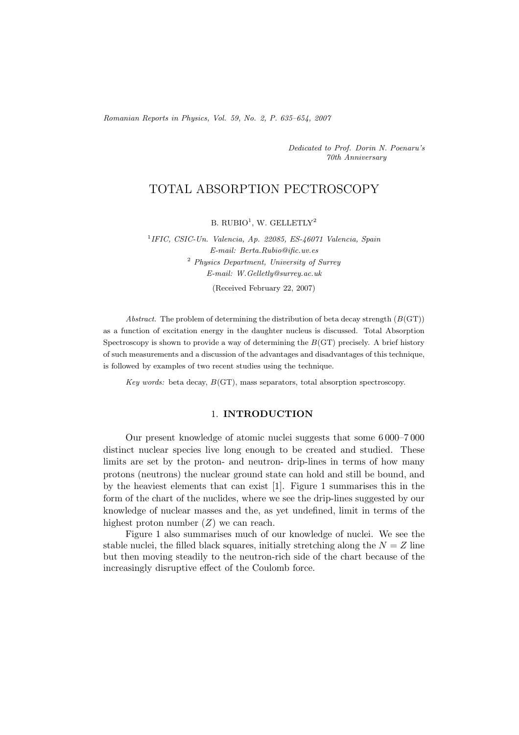*Romanian Reports in Physics, Vol. 59, No. 2, P. 635–654, 2007*

*Dedicated to Prof. Dorin N. Poenaru's 70th Anniversary*

# TOTAL ABSORPTION PECTROSCOPY

B. RUBIO<sup>1</sup>, W. GELLETLY<sup>2</sup>

<sup>1</sup>*IFIC, CSIC-Un. Valencia, Ap. 22085, ES-46071 Valencia, Spain E-mail: Berta.Rubio@ific.uv.es* <sup>2</sup> *Physics Department, University of Surrey E-mail: W.Gelletly@surrey.ac.uk*

(Received February 22, 2007)

*Abstract.* The problem of determining the distribution of beta decay strength (*B*(GT)) as a function of excitation energy in the daughter nucleus is discussed. Total Absorption Spectroscopy is shown to provide a way of determining the *B*(GT) precisely. A brief history of such measurements and a discussion of the advantages and disadvantages of this technique, is followed by examples of two recent studies using the technique.

*Key words:* beta decay, *B*(GT), mass separators, total absorption spectroscopy.

## 1. **INTRODUCTION**

Our present knowledge of atomic nuclei suggests that some 6 000–7 000 distinct nuclear species live long enough to be created and studied. These limits are set by the proton- and neutron- drip-lines in terms of how many protons (neutrons) the nuclear ground state can hold and still be bound, and by the heaviest elements that can exist [1]. Figure 1 summarises this in the form of the chart of the nuclides, where we see the drip-lines suggested by our knowledge of nuclear masses and the, as yet undefined, limit in terms of the highest proton number  $(Z)$  we can reach.

Figure 1 also summarises much of our knowledge of nuclei. We see the stable nuclei, the filled black squares, initially stretching along the  $N = Z$  line but then moving steadily to the neutron-rich side of the chart because of the increasingly disruptive effect of the Coulomb force.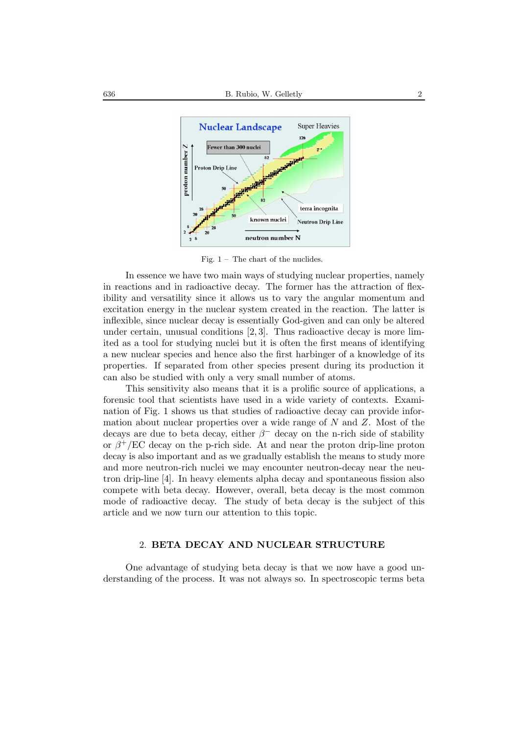

Fig.  $1 -$  The chart of the nuclides.

In essence we have two main ways of studying nuclear properties, namely in reactions and in radioactive decay. The former has the attraction of flexibility and versatility since it allows us to vary the angular momentum and excitation energy in the nuclear system created in the reaction. The latter is inflexible, since nuclear decay is essentially God-given and can only be altered under certain, unusual conditions [2, 3]. Thus radioactive decay is more limited as a tool for studying nuclei but it is often the first means of identifying a new nuclear species and hence also the first harbinger of a knowledge of its properties. If separated from other species present during its production it can also be studied with only a very small number of atoms.

This sensitivity also means that it is a prolific source of applications, a forensic tool that scientists have used in a wide variety of contexts. Examination of Fig. 1 shows us that studies of radioactive decay can provide information about nuclear properties over a wide range of  $N$  and  $Z$ . Most of the decays are due to beta decay, either  $\beta^-$  decay on the n-rich side of stability or  $\beta^+/EC$  decay on the p-rich side. At and near the proton drip-line proton decay is also important and as we gradually establish the means to study more and more neutron-rich nuclei we may encounter neutron-decay near the neutron drip-line [4]. In heavy elements alpha decay and spontaneous fission also compete with beta decay. However, overall, beta decay is the most common mode of radioactive decay. The study of beta decay is the subject of this article and we now turn our attention to this topic.

## 2. **BETA DECAY AND NUCLEAR STRUCTURE**

One advantage of studying beta decay is that we now have a good understanding of the process. It was not always so. In spectroscopic terms beta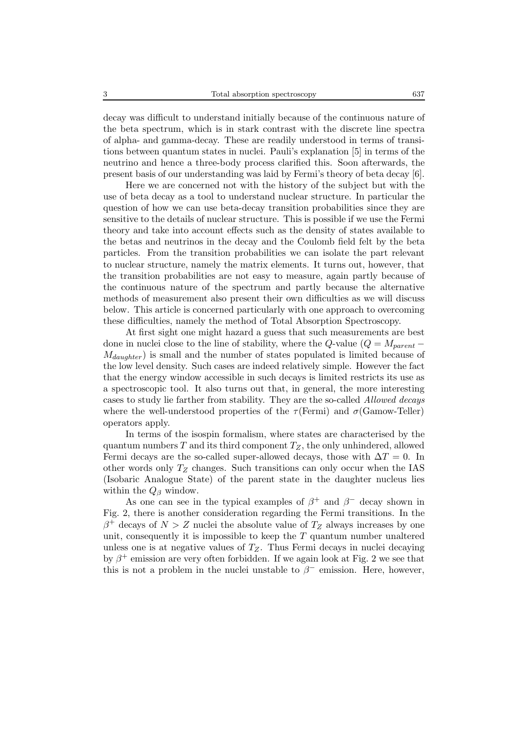decay was difficult to understand initially because of the continuous nature of the beta spectrum, which is in stark contrast with the discrete line spectra of alpha- and gamma-decay. These are readily understood in terms of transitions between quantum states in nuclei. Pauli's explanation [5] in terms of the neutrino and hence a three-body process clarified this. Soon afterwards, the present basis of our understanding was laid by Fermi's theory of beta decay [6].

Here we are concerned not with the history of the subject but with the use of beta decay as a tool to understand nuclear structure. In particular the question of how we can use beta-decay transition probabilities since they are sensitive to the details of nuclear structure. This is possible if we use the Fermi theory and take into account effects such as the density of states available to the betas and neutrinos in the decay and the Coulomb field felt by the beta particles. From the transition probabilities we can isolate the part relevant to nuclear structure, namely the matrix elements. It turns out, however, that the transition probabilities are not easy to measure, again partly because of the continuous nature of the spectrum and partly because the alternative methods of measurement also present their own difficulties as we will discuss below. This article is concerned particularly with one approach to overcoming these difficulties, namely the method of Total Absorption Spectroscopy.

At first sight one might hazard a guess that such measurements are best done in nuclei close to the line of stability, where the Q-value ( $Q = M_{parent}$  –  $M_{daudhter}$ ) is small and the number of states populated is limited because of the low level density. Such cases are indeed relatively simple. However the fact that the energy window accessible in such decays is limited restricts its use as a spectroscopic tool. It also turns out that, in general, the more interesting cases to study lie farther from stability. They are the so-called *Allowed decays* where the well-understood properties of the  $\tau$  (Fermi) and  $\sigma$  (Gamow-Teller) operators apply.

In terms of the isospin formalism, where states are characterised by the quantum numbers T and its third component  $T_Z$ , the only unhindered, allowed Fermi decays are the so-called super-allowed decays, those with  $\Delta T = 0$ . In other words only  $T_Z$  changes. Such transitions can only occur when the IAS (Isobaric Analogue State) of the parent state in the daughter nucleus lies within the  $Q_\beta$  window.

As one can see in the typical examples of  $\beta^+$  and  $\beta^-$  decay shown in Fig. 2, there is another consideration regarding the Fermi transitions. In the  $\beta^+$  decays of  $N>Z$  nuclei the absolute value of  $T_Z$  always increases by one unit, consequently it is impossible to keep the  $T$  quantum number unaltered unless one is at negative values of  $T_Z$ . Thus Fermi decays in nuclei decaying by  $\beta^+$  emission are very often forbidden. If we again look at Fig. 2 we see that this is not a problem in the nuclei unstable to  $\beta^-$  emission. Here, however,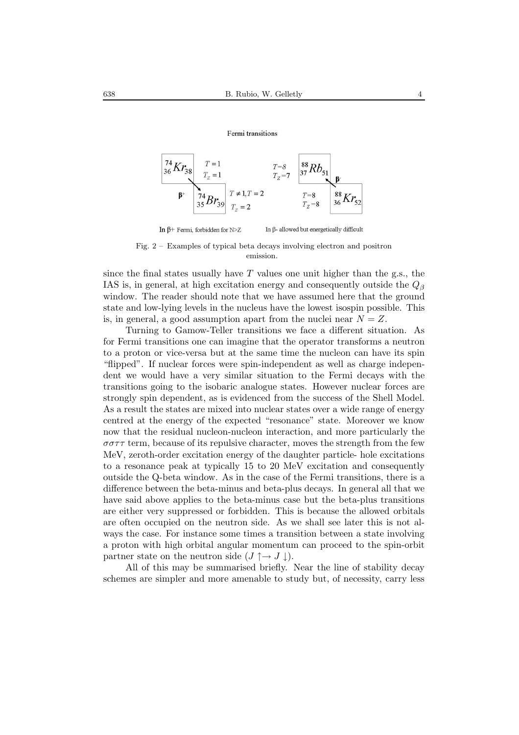#### Fermi transitions



Fig. 2 – Examples of typical beta decays involving electron and positron emission.

since the final states usually have  $T$  values one unit higher than the g.s., the IAS is, in general, at high excitation energy and consequently outside the  $Q_\beta$ window. The reader should note that we have assumed here that the ground state and low-lying levels in the nucleus have the lowest isospin possible. This is, in general, a good assumption apart from the nuclei near  $N = Z$ .

Turning to Gamow-Teller transitions we face a different situation. As for Fermi transitions one can imagine that the operator transforms a neutron to a proton or vice-versa but at the same time the nucleon can have its spin "flipped". If nuclear forces were spin-independent as well as charge independent we would have a very similar situation to the Fermi decays with the transitions going to the isobaric analogue states. However nuclear forces are strongly spin dependent, as is evidenced from the success of the Shell Model. As a result the states are mixed into nuclear states over a wide range of energy centred at the energy of the expected "resonance" state. Moreover we know now that the residual nucleon-nucleon interaction, and more particularly the  $\sigma\sigma\tau\tau$  term, because of its repulsive character, moves the strength from the few MeV, zeroth-order excitation energy of the daughter particle- hole excitations to a resonance peak at typically 15 to 20 MeV excitation and consequently outside the Q-beta window. As in the case of the Fermi transitions, there is a difference between the beta-minus and beta-plus decays. In general all that we have said above applies to the beta-minus case but the beta-plus transitions are either very suppressed or forbidden. This is because the allowed orbitals are often occupied on the neutron side. As we shall see later this is not always the case. For instance some times a transition between a state involving a proton with high orbital angular momentum can proceed to the spin-orbit partner state on the neutron side  $(J \uparrow \rightarrow J \downarrow)$ .

All of this may be summarised briefly. Near the line of stability decay schemes are simpler and more amenable to study but, of necessity, carry less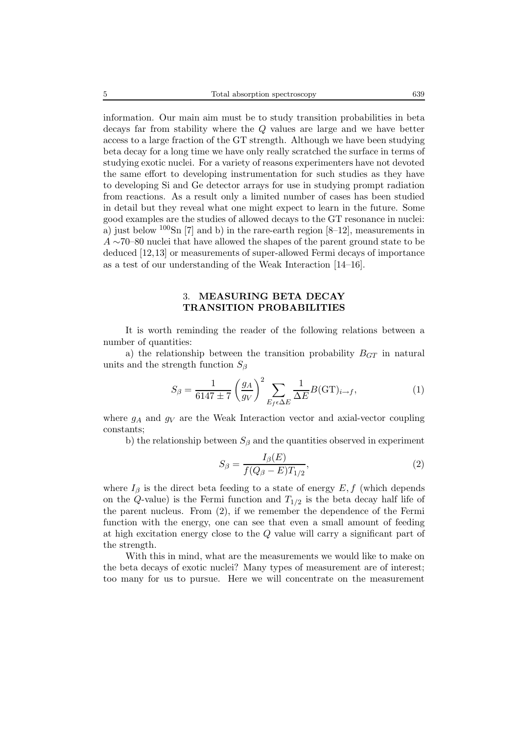information. Our main aim must be to study transition probabilities in beta decays far from stability where the Q values are large and we have better access to a large fraction of the GT strength. Although we have been studying beta decay for a long time we have only really scratched the surface in terms of studying exotic nuclei. For a variety of reasons experimenters have not devoted the same effort to developing instrumentation for such studies as they have to developing Si and Ge detector arrays for use in studying prompt radiation from reactions. As a result only a limited number of cases has been studied in detail but they reveal what one might expect to learn in the future. Some good examples are the studies of allowed decays to the GT resonance in nuclei: a) just below  $100\text{Sn}$  [7] and b) in the rare-earth region [8–12], measurements in  $A \sim 70$ –80 nuclei that have allowed the shapes of the parent ground state to be deduced [12,13] or measurements of super-allowed Fermi decays of importance as a test of our understanding of the Weak Interaction [14–16].

## 3. **MEASURING BETA DECAY TRANSITION PROBABILITIES**

It is worth reminding the reader of the following relations between a number of quantities:

a) the relationship between the transition probability  $B_{GT}$  in natural units and the strength function  $S_\beta$ 

$$
S_{\beta} = \frac{1}{6147 \pm 7} \left(\frac{g_A}{g_V}\right)^2 \sum_{E_f \in \Delta E} \frac{1}{\Delta E} B(\text{GT})_{i \to f},\tag{1}
$$

where  $g_A$  and  $g_V$  are the Weak Interaction vector and axial-vector coupling constants;

b) the relationship between  $S_\beta$  and the quantities observed in experiment

$$
S_{\beta} = \frac{I_{\beta}(E)}{f(Q_{\beta} - E)T_{1/2}},
$$
\n(2)

where  $I_\beta$  is the direct beta feeding to a state of energy  $E, f$  (which depends on the Q-value) is the Fermi function and  $T_{1/2}$  is the beta decay half life of the parent nucleus. From (2), if we remember the dependence of the Fermi function with the energy, one can see that even a small amount of feeding at high excitation energy close to the Q value will carry a significant part of the strength.

With this in mind, what are the measurements we would like to make on the beta decays of exotic nuclei? Many types of measurement are of interest; too many for us to pursue. Here we will concentrate on the measurement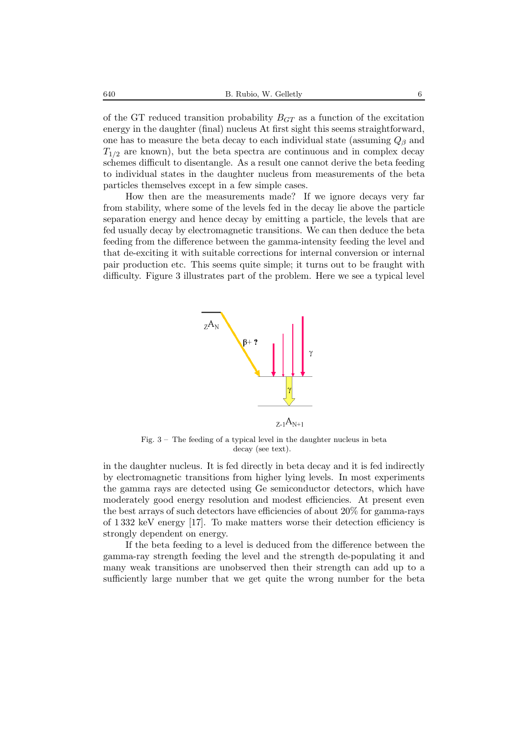of the GT reduced transition probability  $B_{GT}$  as a function of the excitation energy in the daughter (final) nucleus At first sight this seems straightforward, one has to measure the beta decay to each individual state (assuming  $Q<sub>\beta</sub>$  and  $T_{1/2}$  are known), but the beta spectra are continuous and in complex decay schemes difficult to disentangle. As a result one cannot derive the beta feeding to individual states in the daughter nucleus from measurements of the beta particles themselves except in a few simple cases.

How then are the measurements made? If we ignore decays very far from stability, where some of the levels fed in the decay lie above the particle separation energy and hence decay by emitting a particle, the levels that are fed usually decay by electromagnetic transitions. We can then deduce the beta feeding from the difference between the gamma-intensity feeding the level and that de-exciting it with suitable corrections for internal conversion or internal pair production etc. This seems quite simple; it turns out to be fraught with difficulty. Figure 3 illustrates part of the problem. Here we see a typical level



Fig. 3 – The feeding of a typical level in the daughter nucleus in beta decay (see text).

in the daughter nucleus. It is fed directly in beta decay and it is fed indirectly by electromagnetic transitions from higher lying levels. In most experiments the gamma rays are detected using Ge semiconductor detectors, which have moderately good energy resolution and modest efficiencies. At present even the best arrays of such detectors have efficiencies of about 20% for gamma-rays of 1 332 keV energy [17]. To make matters worse their detection efficiency is strongly dependent on energy.

If the beta feeding to a level is deduced from the difference between the gamma-ray strength feeding the level and the strength de-populating it and many weak transitions are unobserved then their strength can add up to a sufficiently large number that we get quite the wrong number for the beta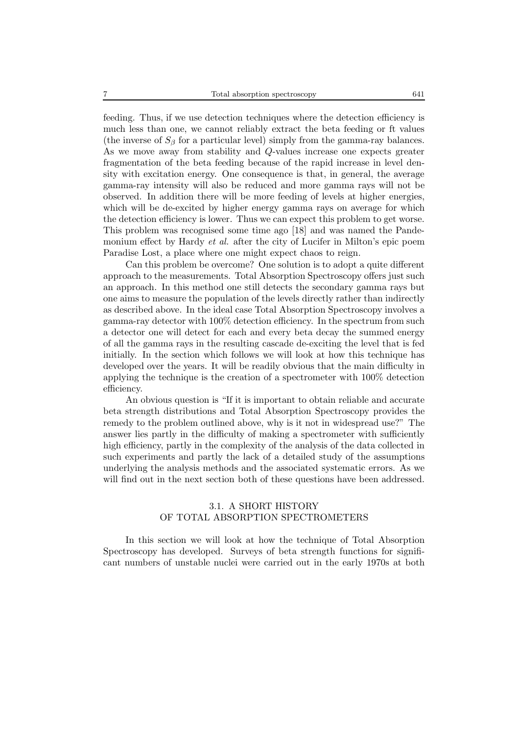feeding. Thus, if we use detection techniques where the detection efficiency is much less than one, we cannot reliably extract the beta feeding or ft values (the inverse of  $S_\beta$  for a particular level) simply from the gamma-ray balances. As we move away from stability and Q-values increase one expects greater fragmentation of the beta feeding because of the rapid increase in level density with excitation energy. One consequence is that, in general, the average gamma-ray intensity will also be reduced and more gamma rays will not be observed. In addition there will be more feeding of levels at higher energies, which will be de-excited by higher energy gamma rays on average for which the detection efficiency is lower. Thus we can expect this problem to get worse. This problem was recognised some time ago [18] and was named the Pandemonium effect by Hardy *et al.* after the city of Lucifer in Milton's epic poem Paradise Lost, a place where one might expect chaos to reign.

Can this problem be overcome? One solution is to adopt a quite different approach to the measurements. Total Absorption Spectroscopy offers just such an approach. In this method one still detects the secondary gamma rays but one aims to measure the population of the levels directly rather than indirectly as described above. In the ideal case Total Absorption Spectroscopy involves a gamma-ray detector with 100% detection efficiency. In the spectrum from such a detector one will detect for each and every beta decay the summed energy of all the gamma rays in the resulting cascade de-exciting the level that is fed initially. In the section which follows we will look at how this technique has developed over the years. It will be readily obvious that the main difficulty in applying the technique is the creation of a spectrometer with 100% detection efficiency.

An obvious question is "If it is important to obtain reliable and accurate beta strength distributions and Total Absorption Spectroscopy provides the remedy to the problem outlined above, why is it not in widespread use?" The answer lies partly in the difficulty of making a spectrometer with sufficiently high efficiency, partly in the complexity of the analysis of the data collected in such experiments and partly the lack of a detailed study of the assumptions underlying the analysis methods and the associated systematic errors. As we will find out in the next section both of these questions have been addressed.

## 3.1. A SHORT HISTORY OF TOTAL ABSORPTION SPECTROMETERS

In this section we will look at how the technique of Total Absorption Spectroscopy has developed. Surveys of beta strength functions for significant numbers of unstable nuclei were carried out in the early 1970s at both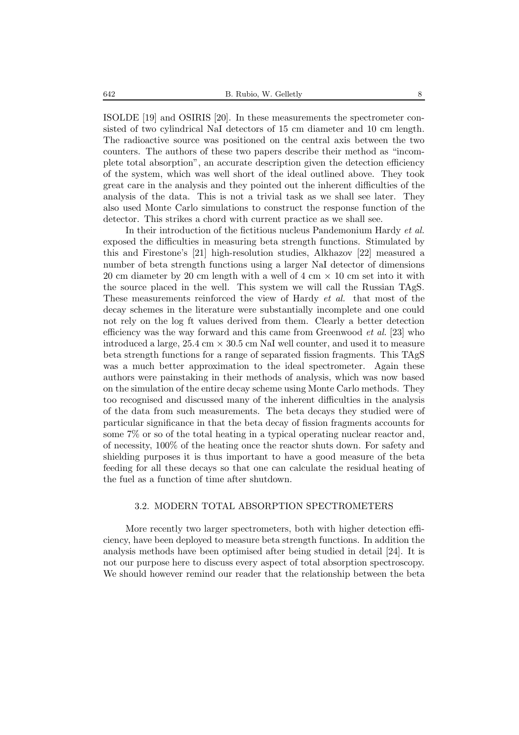ISOLDE [19] and OSIRIS [20]. In these measurements the spectrometer consisted of two cylindrical NaI detectors of 15 cm diameter and 10 cm length. The radioactive source was positioned on the central axis between the two counters. The authors of these two papers describe their method as "incomplete total absorption", an accurate description given the detection efficiency of the system, which was well short of the ideal outlined above. They took great care in the analysis and they pointed out the inherent difficulties of the analysis of the data. This is not a trivial task as we shall see later. They also used Monte Carlo simulations to construct the response function of the detector. This strikes a chord with current practice as we shall see.

In their introduction of the fictitious nucleus Pandemonium Hardy *et al.* exposed the difficulties in measuring beta strength functions. Stimulated by this and Firestone's [21] high-resolution studies, Alkhazov [22] measured a number of beta strength functions using a larger NaI detector of dimensions 20 cm diameter by 20 cm length with a well of 4 cm  $\times$  10 cm set into it with the source placed in the well. This system we will call the Russian TAgS. These measurements reinforced the view of Hardy *et al.* that most of the decay schemes in the literature were substantially incomplete and one could not rely on the log ft values derived from them. Clearly a better detection efficiency was the way forward and this came from Greenwood *et al.* [23] who introduced a large,  $25.4 \text{ cm} \times 30.5 \text{ cm}$  NaI well counter, and used it to measure beta strength functions for a range of separated fission fragments. This TAgS was a much better approximation to the ideal spectrometer. Again these authors were painstaking in their methods of analysis, which was now based on the simulation of the entire decay scheme using Monte Carlo methods. They too recognised and discussed many of the inherent difficulties in the analysis of the data from such measurements. The beta decays they studied were of particular significance in that the beta decay of fission fragments accounts for some 7% or so of the total heating in a typical operating nuclear reactor and, of necessity, 100% of the heating once the reactor shuts down. For safety and shielding purposes it is thus important to have a good measure of the beta feeding for all these decays so that one can calculate the residual heating of the fuel as a function of time after shutdown.

### 3.2. MODERN TOTAL ABSORPTION SPECTROMETERS

More recently two larger spectrometers, both with higher detection efficiency, have been deployed to measure beta strength functions. In addition the analysis methods have been optimised after being studied in detail [24]. It is not our purpose here to discuss every aspect of total absorption spectroscopy. We should however remind our reader that the relationship between the beta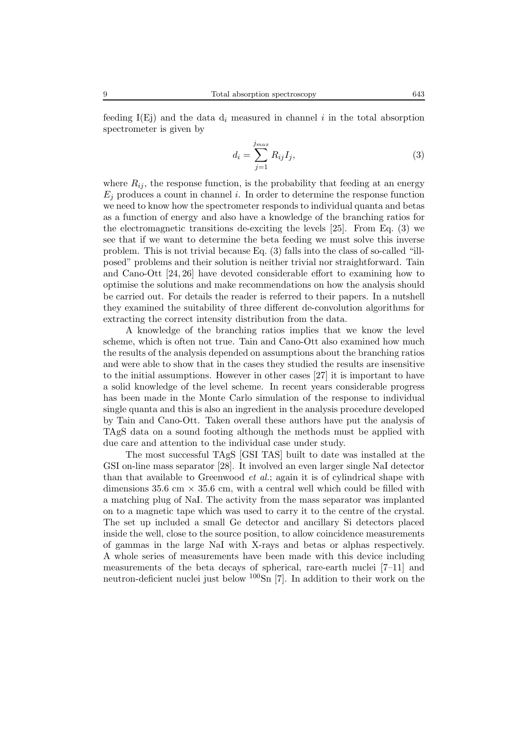feeding I(Ej) and the data  $d_i$  measured in channel i in the total absorption spectrometer is given by

$$
d_i = \sum_{j=1}^{j_{max}} R_{ij} I_j,\tag{3}
$$

where  $R_{ij}$ , the response function, is the probability that feeding at an energy  $E_i$  produces a count in channel i. In order to determine the response function we need to know how the spectrometer responds to individual quanta and betas as a function of energy and also have a knowledge of the branching ratios for the electromagnetic transitions de-exciting the levels [25]. From Eq. (3) we see that if we want to determine the beta feeding we must solve this inverse problem. This is not trivial because Eq. (3) falls into the class of so-called "illposed" problems and their solution is neither trivial nor straightforward. Tain and Cano-Ott [24, 26] have devoted considerable effort to examining how to optimise the solutions and make recommendations on how the analysis should be carried out. For details the reader is referred to their papers. In a nutshell they examined the suitability of three different de-convolution algorithms for extracting the correct intensity distribution from the data.

A knowledge of the branching ratios implies that we know the level scheme, which is often not true. Tain and Cano-Ott also examined how much the results of the analysis depended on assumptions about the branching ratios and were able to show that in the cases they studied the results are insensitive to the initial assumptions. However in other cases [27] it is important to have a solid knowledge of the level scheme. In recent years considerable progress has been made in the Monte Carlo simulation of the response to individual single quanta and this is also an ingredient in the analysis procedure developed by Tain and Cano-Ott. Taken overall these authors have put the analysis of TAgS data on a sound footing although the methods must be applied with due care and attention to the individual case under study.

The most successful TAgS [GSI TAS] built to date was installed at the GSI on-line mass separator [28]. It involved an even larger single NaI detector than that available to Greenwood *et al.*; again it is of cylindrical shape with dimensions 35.6 cm  $\times$  35.6 cm, with a central well which could be filled with a matching plug of NaI. The activity from the mass separator was implanted on to a magnetic tape which was used to carry it to the centre of the crystal. The set up included a small Ge detector and ancillary Si detectors placed inside the well, close to the source position, to allow coincidence measurements of gammas in the large NaI with X-rays and betas or alphas respectively. A whole series of measurements have been made with this device including measurements of the beta decays of spherical, rare-earth nuclei [7–11] and neutron-deficient nuclei just below  $100\text{Sn}$  [7]. In addition to their work on the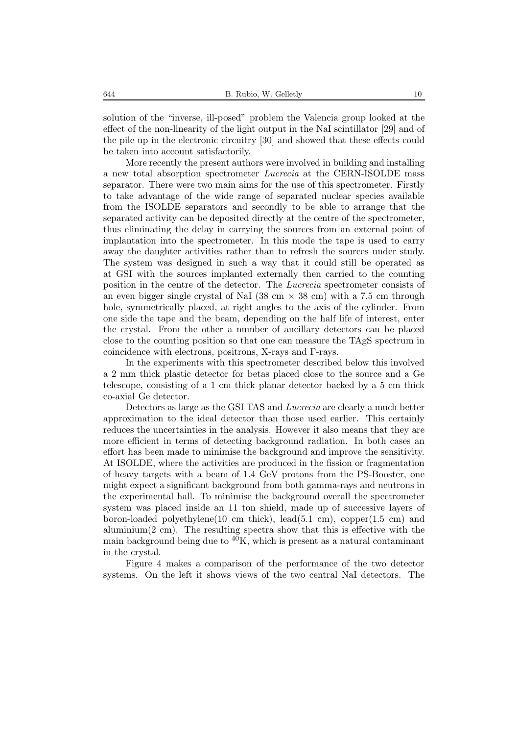solution of the "inverse, ill-posed" problem the Valencia group looked at the effect of the non-linearity of the light output in the NaI scintillator [29] and of the pile up in the electronic circuitry [30] and showed that these effects could be taken into account satisfactorily.

More recently the present authors were involved in building and installing a new total absorption spectrometer *Lucrecia* at the CERN-ISOLDE mass separator. There were two main aims for the use of this spectrometer. Firstly to take advantage of the wide range of separated nuclear species available from the ISOLDE separators and secondly to be able to arrange that the separated activity can be deposited directly at the centre of the spectrometer, thus eliminating the delay in carrying the sources from an external point of implantation into the spectrometer. In this mode the tape is used to carry away the daughter activities rather than to refresh the sources under study. The system was designed in such a way that it could still be operated as at GSI with the sources implanted externally then carried to the counting position in the centre of the detector. The *Lucrecia* spectrometer consists of an even bigger single crystal of NaI (38 cm  $\times$  38 cm) with a 7.5 cm through hole, symmetrically placed, at right angles to the axis of the cylinder. From one side the tape and the beam, depending on the half life of interest, enter the crystal. From the other a number of ancillary detectors can be placed close to the counting position so that one can measure the TAgS spectrum in coincidence with electrons, positrons, X-rays and Γ-rays.

In the experiments with this spectrometer described below this involved a 2 mm thick plastic detector for betas placed close to the source and a Ge telescope, consisting of a 1 cm thick planar detector backed by a 5 cm thick co-axial Ge detector.

Detectors as large as the GSI TAS and *Lucrecia* are clearly a much better approximation to the ideal detector than those used earlier. This certainly reduces the uncertainties in the analysis. However it also means that they are more efficient in terms of detecting background radiation. In both cases an effort has been made to minimise the background and improve the sensitivity. At ISOLDE, where the activities are produced in the fission or fragmentation of heavy targets with a beam of 1.4 GeV protons from the PS-Booster, one might expect a significant background from both gamma-rays and neutrons in the experimental hall. To minimise the background overall the spectrometer system was placed inside an 11 ton shield, made up of successive layers of boron-loaded polyethylene(10 cm thick), lead(5.1 cm), copper(1.5 cm) and aluminium(2 cm). The resulting spectra show that this is effective with the main background being due to  $\rm 40K$ , which is present as a natural contaminant in the crystal.

Figure 4 makes a comparison of the performance of the two detector systems. On the left it shows views of the two central NaI detectors. The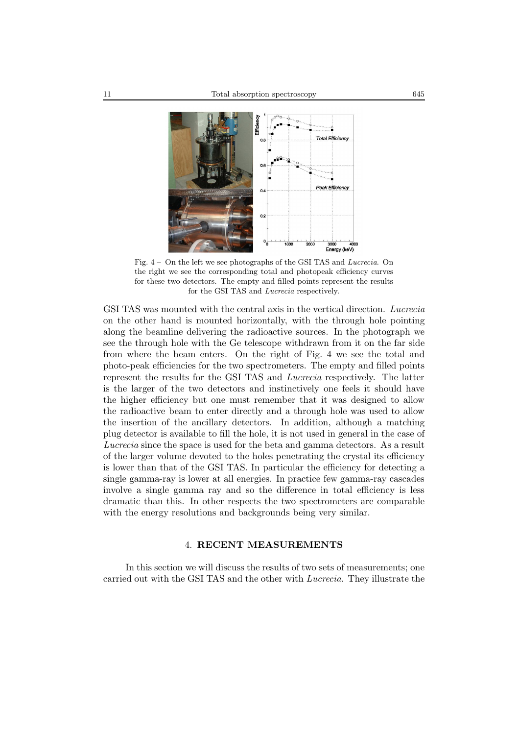

Fig. 4 – On the left we see photographs of the GSI TAS and *Lucrecia*. On the right we see the corresponding total and photopeak efficiency curves for these two detectors. The empty and filled points represent the results for the GSI TAS and *Lucrecia* respectively.

GSI TAS was mounted with the central axis in the vertical direction. *Lucrecia* on the other hand is mounted horizontally, with the through hole pointing along the beamline delivering the radioactive sources. In the photograph we see the through hole with the Ge telescope withdrawn from it on the far side from where the beam enters. On the right of Fig. 4 we see the total and photo-peak efficiencies for the two spectrometers. The empty and filled points represent the results for the GSI TAS and *Lucrecia* respectively. The latter is the larger of the two detectors and instinctively one feels it should have the higher efficiency but one must remember that it was designed to allow the radioactive beam to enter directly and a through hole was used to allow the insertion of the ancillary detectors. In addition, although a matching plug detector is available to fill the hole, it is not used in general in the case of *Lucrecia* since the space is used for the beta and gamma detectors. As a result of the larger volume devoted to the holes penetrating the crystal its efficiency is lower than that of the GSI TAS. In particular the efficiency for detecting a single gamma-ray is lower at all energies. In practice few gamma-ray cascades involve a single gamma ray and so the difference in total efficiency is less dramatic than this. In other respects the two spectrometers are comparable with the energy resolutions and backgrounds being very similar.

## 4. **RECENT MEASUREMENTS**

In this section we will discuss the results of two sets of measurements; one carried out with the GSI TAS and the other with *Lucrecia*. They illustrate the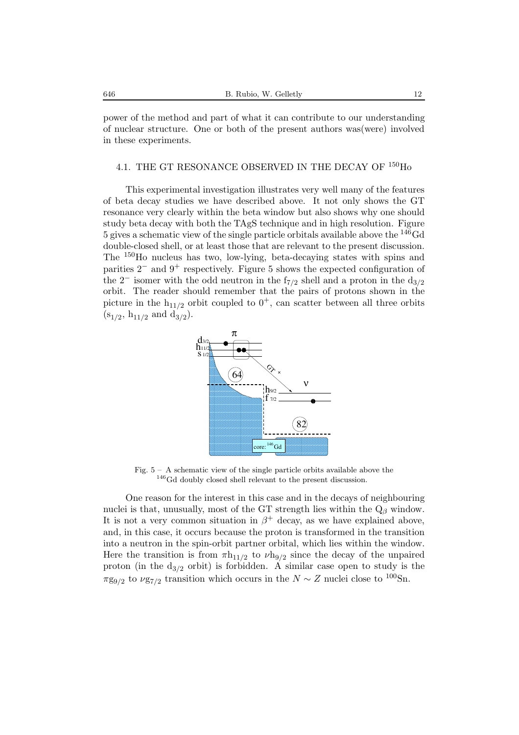power of the method and part of what it can contribute to our understanding of nuclear structure. One or both of the present authors was(were) involved in these experiments.

## 4.1. THE GT RESONANCE OBSERVED IN THE DECAY OF <sup>150</sup>Ho

This experimental investigation illustrates very well many of the features of beta decay studies we have described above. It not only shows the GT resonance very clearly within the beta window but also shows why one should study beta decay with both the TAgS technique and in high resolution. Figure 5 gives a schematic view of the single particle orbitals available above the <sup>146</sup>Gd double-closed shell, or at least those that are relevant to the present discussion. The <sup>150</sup>Ho nucleus has two, low-lying, beta-decaying states with spins and parities 2<sup>−</sup> and 9<sup>+</sup> respectively. Figure 5 shows the expected configuration of the 2<sup>−</sup> isomer with the odd neutron in the f<sub>7/2</sub> shell and a proton in the  $d_{3/2}$ orbit. The reader should remember that the pairs of protons shown in the picture in the  $h_{11/2}$  orbit coupled to  $0^+$ , can scatter between all three orbits  $(s_{1/2}, h_{11/2} \text{ and } d_{3/2}).$ 



Fig. 5 – A schematic view of the single particle orbits available above the  $^{146}\mathrm{Gd}$  doubly closed shell relevant to the present discussion.

One reason for the interest in this case and in the decays of neighbouring nuclei is that, unusually, most of the GT strength lies within the  $Q_\beta$  window. It is not a very common situation in  $\beta^+$  decay, as we have explained above, and, in this case, it occurs because the proton is transformed in the transition into a neutron in the spin-orbit partner orbital, which lies within the window. Here the transition is from  $\pi h_{11/2}$  to  $\nu h_{9/2}$  since the decay of the unpaired proton (in the  $d_{3/2}$  orbit) is forbidden. A similar case open to study is the  $\pi$ g<sub>9/2</sub> to  $\nu$ g<sub>7/2</sub> transition which occurs in the  $N \sim Z$  nuclei close to <sup>100</sup>Sn.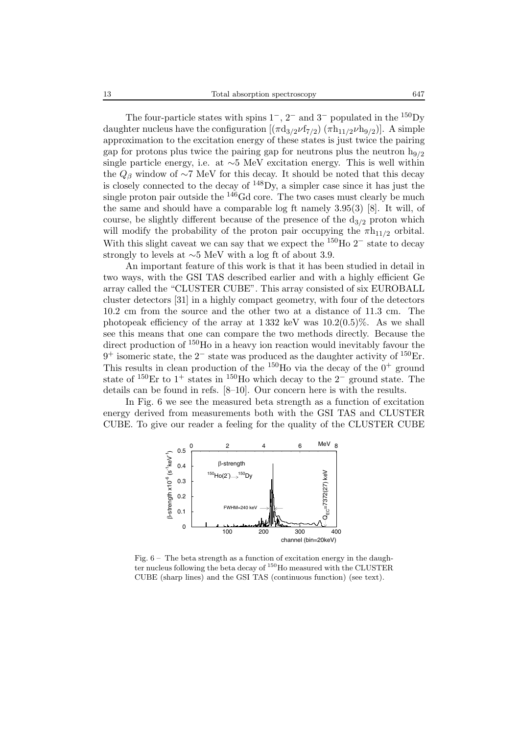The four-particle states with spins  $1^-, 2^-$  and  $3^-$  populated in the <sup>150</sup>Dy daughter nucleus have the configuration  $[(\pi d_{3/2}\nu f_{7/2}) (\pi h_{11/2}\nu h_{9/2})]$ . A simple approximation to the excitation energy of these states is just twice the pairing gap for protons plus twice the pairing gap for neutrons plus the neutron  $h_{9/2}$ single particle energy, i.e. at ∼5 MeV excitation energy. This is well within the  $Q_\beta$  window of ∼7 MeV for this decay. It should be noted that this decay is closely connected to the decay of <sup>148</sup>Dy, a simpler case since it has just the single proton pair outside the <sup>146</sup>Gd core. The two cases must clearly be much the same and should have a comparable log ft namely 3.95(3) [8]. It will, of course, be slightly different because of the presence of the  $d_{3/2}$  proton which will modify the probability of the proton pair occupying the  $\pi h_{11/2}$  orbital. With this slight caveat we can say that we expect the  $150$ Ho  $2^-$  state to decay strongly to levels at ∼5 MeV with a log ft of about 3.9.

An important feature of this work is that it has been studied in detail in two ways, with the GSI TAS described earlier and with a highly efficient Ge array called the "CLUSTER CUBE". This array consisted of six EUROBALL cluster detectors [31] in a highly compact geometry, with four of the detectors 10.2 cm from the source and the other two at a distance of 11.3 cm. The photopeak efficiency of the array at  $1332 \text{ keV}$  was  $10.2(0.5)\%$ . As we shall see this means that one can compare the two methods directly. Because the direct production of <sup>150</sup>Ho in a heavy ion reaction would inevitably favour the  $9^+$  isomeric state, the  $2^-$  state was produced as the daughter activity of <sup>150</sup>Er. This results in clean production of the <sup>150</sup>H<sub>o</sub> via the decay of the  $0^+$  ground state of <sup>150</sup>Er to 1<sup>+</sup> states in <sup>150</sup>Ho which decay to the 2<sup>-</sup> ground state. The details can be found in refs. [8–10]. Our concern here is with the results.

In Fig. 6 we see the measured beta strength as a function of excitation energy derived from measurements both with the GSI TAS and CLUSTER CUBE. To give our reader a feeling for the quality of the CLUSTER CUBE



Fig.  $6-$  The beta strength as a function of excitation energy in the daughter nucleus following the beta decay of <sup>150</sup>Ho measured with the CLUSTER CUBE (sharp lines) and the GSI TAS (continuous function) (see text).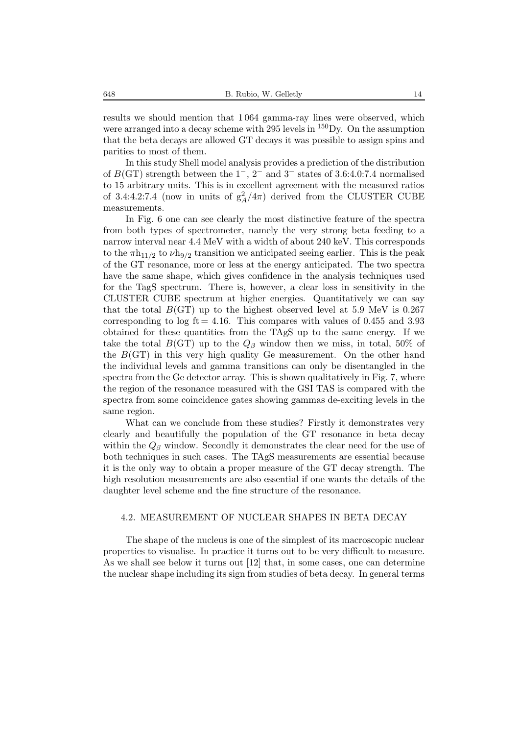results we should mention that 1 064 gamma-ray lines were observed, which were arranged into a decay scheme with 295 levels in  $^{150}$ Dy. On the assumption that the beta decays are allowed GT decays it was possible to assign spins and parities to most of them.

In this study Shell model analysis provides a prediction of the distribution of  $B(\text{GT})$  strength between the 1<sup>-</sup>, 2<sup>-</sup> and 3<sup>-</sup> states of 3.6:4.0:7.4 normalised to 15 arbitrary units. This is in excellent agreement with the measured ratios of 3.4:4.2:7.4 (now in units of  $g_A^2/4\pi$ ) derived from the CLUSTER CUBE measurements.

In Fig. 6 one can see clearly the most distinctive feature of the spectra from both types of spectrometer, namely the very strong beta feeding to a narrow interval near 4.4 MeV with a width of about 240 keV. This corresponds to the  $\pi h_{11/2}$  to  $\nu h_{9/2}$  transition we anticipated seeing earlier. This is the peak of the GT resonance, more or less at the energy anticipated. The two spectra have the same shape, which gives confidence in the analysis techniques used for the TagS spectrum. There is, however, a clear loss in sensitivity in the CLUSTER CUBE spectrum at higher energies. Quantitatively we can say that the total  $B(\text{GT})$  up to the highest observed level at 5.9 MeV is 0.267 corresponding to log  $ft = 4.16$ . This compares with values of 0.455 and 3.93 obtained for these quantities from the TAgS up to the same energy. If we take the total  $B(\text{GT})$  up to the  $Q_\beta$  window then we miss, in total, 50% of the  $B(\text{GT})$  in this very high quality Ge measurement. On the other hand the individual levels and gamma transitions can only be disentangled in the spectra from the Ge detector array. This is shown qualitatively in Fig. 7, where the region of the resonance measured with the GSI TAS is compared with the spectra from some coincidence gates showing gammas de-exciting levels in the same region.

What can we conclude from these studies? Firstly it demonstrates very clearly and beautifully the population of the GT resonance in beta decay within the  $Q_\beta$  window. Secondly it demonstrates the clear need for the use of both techniques in such cases. The TAgS measurements are essential because it is the only way to obtain a proper measure of the GT decay strength. The high resolution measurements are also essential if one wants the details of the daughter level scheme and the fine structure of the resonance.

#### 4.2. MEASUREMENT OF NUCLEAR SHAPES IN BETA DECAY

The shape of the nucleus is one of the simplest of its macroscopic nuclear properties to visualise. In practice it turns out to be very difficult to measure. As we shall see below it turns out [12] that, in some cases, one can determine the nuclear shape including its sign from studies of beta decay. In general terms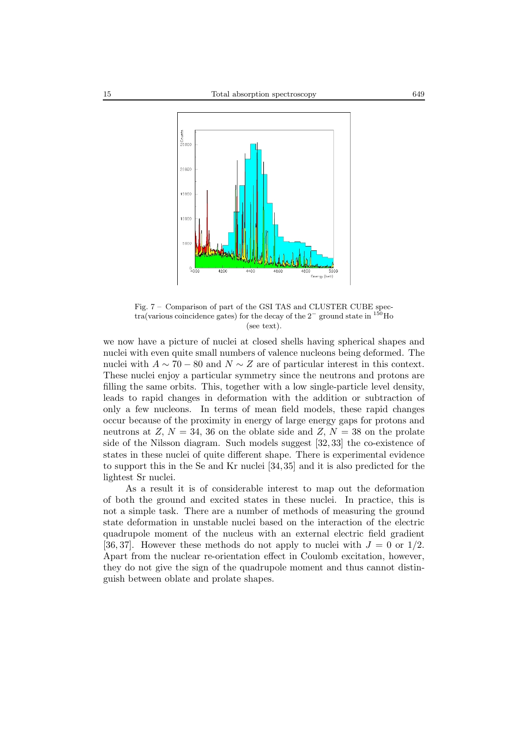

Fig. 7 – Comparison of part of the GSI TAS and CLUSTER CUBE spectra(various coincidence gates) for the decay of the 2*<sup>−</sup>* ground state in <sup>150</sup>Ho (see text).

we now have a picture of nuclei at closed shells having spherical shapes and nuclei with even quite small numbers of valence nucleons being deformed. The nuclei with  $A \sim 70 - 80$  and  $N \sim Z$  are of particular interest in this context. These nuclei enjoy a particular symmetry since the neutrons and protons are filling the same orbits. This, together with a low single-particle level density, leads to rapid changes in deformation with the addition or subtraction of only a few nucleons. In terms of mean field models, these rapid changes occur because of the proximity in energy of large energy gaps for protons and neutrons at  $Z, N = 34, 36$  on the oblate side and  $Z, N = 38$  on the prolate side of the Nilsson diagram. Such models suggest [32, 33] the co-existence of states in these nuclei of quite different shape. There is experimental evidence to support this in the Se and Kr nuclei [34, 35] and it is also predicted for the lightest Sr nuclei.

As a result it is of considerable interest to map out the deformation of both the ground and excited states in these nuclei. In practice, this is not a simple task. There are a number of methods of measuring the ground state deformation in unstable nuclei based on the interaction of the electric quadrupole moment of the nucleus with an external electric field gradient [36, 37]. However these methods do not apply to nuclei with  $J = 0$  or  $1/2$ . Apart from the nuclear re-orientation effect in Coulomb excitation, however, they do not give the sign of the quadrupole moment and thus cannot distinguish between oblate and prolate shapes.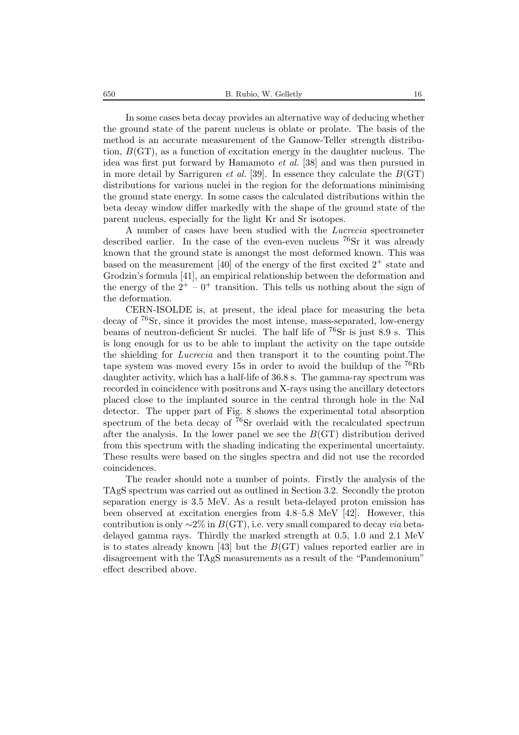In some cases beta decay provides an alternative way of deducing whether the ground state of the parent nucleus is oblate or prolate. The basis of the method is an accurate measurement of the Gamow-Teller strength distribution,  $B(\text{GT})$ , as a function of excitation energy in the daughter nucleus. The idea was first put forward by Hamamoto *et al.* [38] and was then pursued in in more detail by Sarriguren *et al.* [39]. In essence they calculate the  $B(\text{GT})$ distributions for various nuclei in the region for the deformations minimising the ground state energy. In some cases the calculated distributions within the beta decay window differ markedly with the shape of the ground state of the parent nucleus, especially for the light Kr and Sr isotopes.

A number of cases have been studied with the *Lucrecia* spectrometer described earlier. In the case of the even-even nucleus  $^{76}Sr$  it was already known that the ground state is amongst the most deformed known. This was based on the measurement [40] of the energy of the first excited  $2^+$  state and Grodzin's formula [41], an empirical relationship between the deformation and the energy of the  $2^+$  –  $0^+$  transition. This tells us nothing about the sign of the deformation.

CERN-ISOLDE is, at present, the ideal place for measuring the beta decay of <sup>76</sup>Sr, since it provides the most intense, mass-separated, low-energy beams of neutron-deficient Sr nuclei. The half life of  $^{76}Sr$  is just 8.9 s. This is long enough for us to be able to implant the activity on the tape outside the shielding for *Lucrecia* and then transport it to the counting point.The tape system was moved every 15s in order to avoid the buildup of the <sup>76</sup>Rb daughter activity, which has a half-life of 36.8 s. The gamma-ray spectrum was recorded in coincidence with positrons and X-rays using the ancillary detectors placed close to the implanted source in the central through hole in the NaI detector. The upper part of Fig. 8 shows the experimental total absorption spectrum of the beta decay of  $76$ Sr overlaid with the recalculated spectrum after the analysis. In the lower panel we see the  $B(\text{GT})$  distribution derived from this spectrum with the shading indicating the experimental uncertainty. These results were based on the singles spectra and did not use the recorded coincidences.

The reader should note a number of points. Firstly the analysis of the TAgS spectrum was carried out as outlined in Section 3.2. Secondly the proton separation energy is 3.5 MeV. As a result beta-delayed proton emission has been observed at excitation energies from 4.8–5.8 MeV [42]. However, this contribution is only <sup>∼</sup>2% in <sup>B</sup>(GT), i.e. very small compared to decay *via* betadelayed gamma rays. Thirdly the marked strength at 0.5, 1.0 and 2.1 MeV is to states already known [43] but the  $B(\text{GT})$  values reported earlier are in disagreement with the TAgS measurements as a result of the "Pandemonium" effect described above.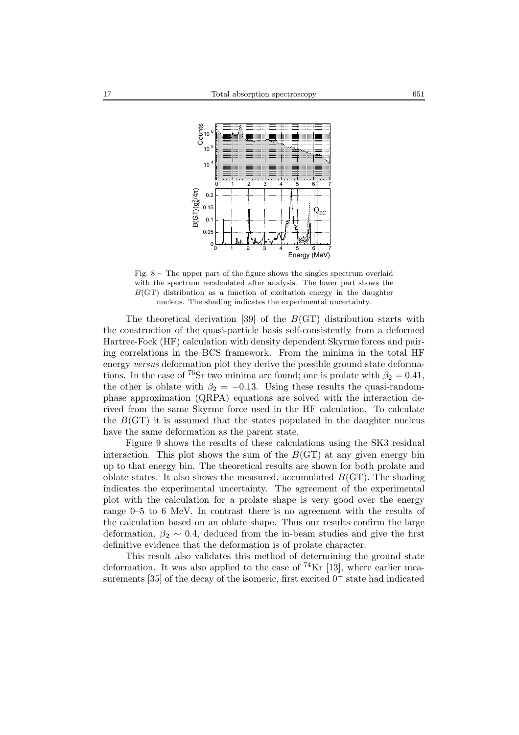

Fig.  $8 -$ The upper part of the figure shows the singles spectrum overlaid with the spectrum recalculated after analysis. The lower part shows the  $B(\text{GT})$  distribution as a function of excitation energy in the daughter nucleus. The shading indicates the experimental uncertainty.

The theoretical derivation [39] of the  $B(\text{GT})$  distribution starts with the construction of the quasi-particle basis self-consistently from a deformed Hartree-Fock (HF) calculation with density dependent Skyrme forces and pairing correlations in the BCS framework. From the minima in the total HF energy *versus* deformation plot they derive the possible ground state deformations. In the case of <sup>76</sup>Sr two minima are found; one is prolate with  $\beta_2 = 0.41$ , the other is oblate with  $\beta_2 = -0.13$ . Using these results the quasi-randomphase approximation (QRPA) equations are solved with the interaction derived from the same Skyrme force used in the HF calculation. To calculate the  $B(\text{GT})$  it is assumed that the states populated in the daughter nucleus have the same deformation as the parent state.

Figure 9 shows the results of these calculations using the SK3 residual interaction. This plot shows the sum of the  $B(\text{GT})$  at any given energy bin up to that energy bin. The theoretical results are shown for both prolate and oblate states. It also shows the measured, accumulated  $B(\text{GT})$ . The shading indicates the experimental uncertainty. The agreement of the experimental plot with the calculation for a prolate shape is very good over the energy range 0–5 to 6 MeV. In contrast there is no agreement with the results of the calculation based on an oblate shape. Thus our results confirm the large deformation,  $\beta_2 \sim 0.4$ , deduced from the in-beam studies and give the first definitive evidence that the deformation is of prolate character.

This result also validates this method of determining the ground state deformation. It was also applied to the case of  $^{74}\text{Kr}$  [13], where earlier measurements [35] of the decay of the isomeric, first excited  $0^+$  state had indicated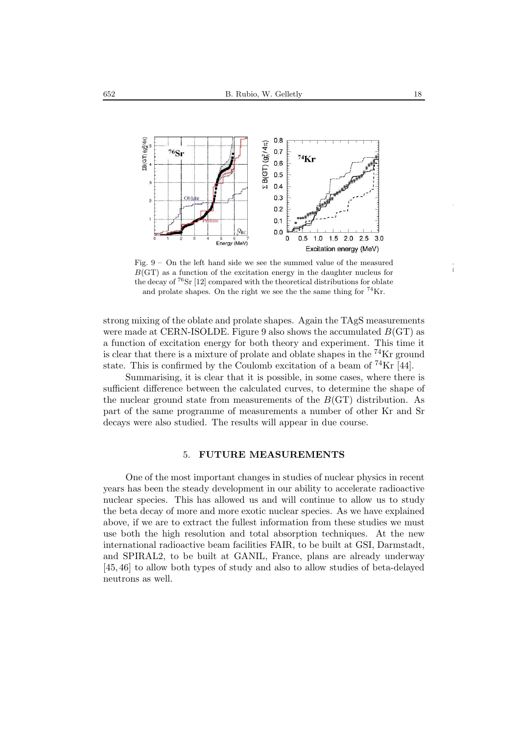

Fig. 9 – On the left hand side we see the summed value of the measured  $B(\text{GT})$  as a function of the excitation energy in the daughter nucleus for the decay of <sup>76</sup>Sr [12] compared with the theoretical distributions for oblate and prolate shapes. On the right we see the the same thing for  $^{74}$ Kr.

strong mixing of the oblate and prolate shapes. Again the TAgS measurements were made at CERN-ISOLDE. Figure 9 also shows the accumulated  $B(\text{GT})$  as a function of excitation energy for both theory and experiment. This time it is clear that there is a mixture of prolate and oblate shapes in the  ${}^{74}\text{Kr}$  ground state. This is confirmed by the Coulomb excitation of a beam of  $^{74}\text{Kr}$  [44].

Summarising, it is clear that it is possible, in some cases, where there is sufficient difference between the calculated curves, to determine the shape of the nuclear ground state from measurements of the  $B(\text{GT})$  distribution. As part of the same programme of measurements a number of other Kr and Sr decays were also studied. The results will appear in due course.

## 5. **FUTURE MEASUREMENTS**

One of the most important changes in studies of nuclear physics in recent years has been the steady development in our ability to accelerate radioactive nuclear species. This has allowed us and will continue to allow us to study the beta decay of more and more exotic nuclear species. As we have explained above, if we are to extract the fullest information from these studies we must use both the high resolution and total absorption techniques. At the new international radioactive beam facilities FAIR, to be built at GSI, Darmstadt, and SPIRAL2, to be built at GANIL, France, plans are already underway [45, 46] to allow both types of study and also to allow studies of beta-delayed neutrons as well.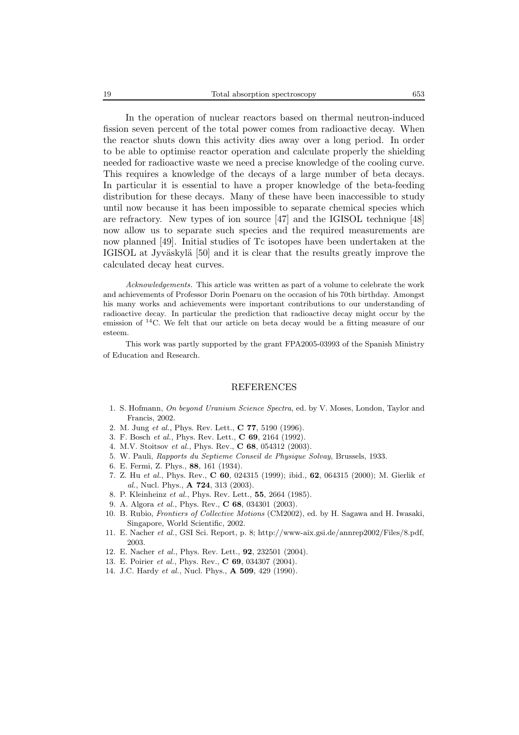In the operation of nuclear reactors based on thermal neutron-induced fission seven percent of the total power comes from radioactive decay. When the reactor shuts down this activity dies away over a long period. In order to be able to optimise reactor operation and calculate properly the shielding needed for radioactive waste we need a precise knowledge of the cooling curve. This requires a knowledge of the decays of a large number of beta decays. In particular it is essential to have a proper knowledge of the beta-feeding distribution for these decays. Many of these have been inaccessible to study until now because it has been impossible to separate chemical species which are refractory. New types of ion source [47] and the IGISOL technique [48] now allow us to separate such species and the required measurements are now planned [49]. Initial studies of Tc isotopes have been undertaken at the IGISOL at Jyväskylä [50] and it is clear that the results greatly improve the calculated decay heat curves.

*Acknowledgements.* This article was written as part of a volume to celebrate the work and achievements of Professor Dorin Poenaru on the occasion of his 70th birthday. Amongst his many works and achievements were important contributions to our understanding of radioactive decay. In particular the prediction that radioactive decay might occur by the emission of  $^{14}$ C. We felt that our article on beta decay would be a fitting measure of our esteem.

This work was partly supported by the grant FPA2005-03993 of the Spanish Ministry of Education and Research.

### REFERENCES

- 1. S. Hofmann, *On beyond Uranium Science Spectra*, ed. by V. Moses, London, Taylor and Francis, 2002.
- 2. M. Jung *et al.*, Phys. Rev. Lett., **C 77**, 5190 (1996).
- 3. F. Bosch *et al.*, Phys. Rev. Lett., **C 69**, 2164 (1992).
- 4. M.V. Stoitsov *et al.*, Phys. Rev., **C 68**, 054312 (2003).
- 5. W. Pauli, *Rapports du Septieme Conseil de Physique Solvay*, Brussels, 1933.
- 6. E. Fermi, Z. Phys., **88**, 161 (1934).
- 7. Z. Hu *et al.*, Phys. Rev., **C 60**, 024315 (1999); ibid., **62**, 064315 (2000); M. Gierlik *et al.*, Nucl. Phys., **A 724**, 313 (2003).
- 8. P. Kleinheinz *et al.*, Phys. Rev. Lett., **55**, 2664 (1985).
- 9. A. Algora *et al.*, Phys. Rev., **C 68**, 034301 (2003).
- 10. B. Rubio, *Frontiers of Collective Motions* (CM2002), ed. by H. Sagawa and H. Iwasaki, Singapore, World Scientific, 2002.
- 11. E. Nacher *et al.*, GSI Sci. Report, p. 8; http://www-aix.gsi.de/annrep2002/Files/8.pdf, 2003.
- 12. E. Nacher *et al.*, Phys. Rev. Lett., **92**, 232501 (2004).
- 13. E. Poirier *et al.*, Phys. Rev., **C 69**, 034307 (2004).
- 14. J.C. Hardy *et al.*, Nucl. Phys., **A 509**, 429 (1990).